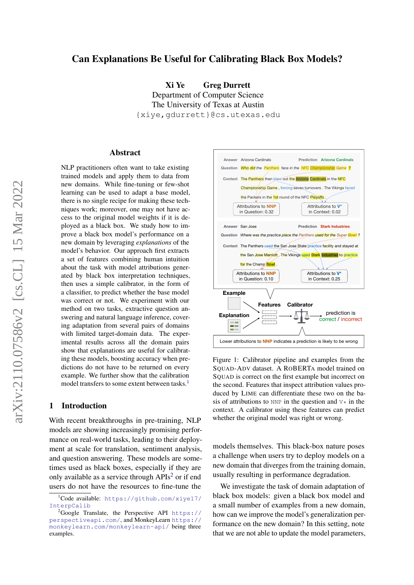# Can Explanations Be Useful for Calibrating Black Box Models?

Xi Ye Greg Durrett Department of Computer Science The University of Texas at Austin {xiye,gdurrett}@cs.utexas.edu

#### Abstract

NLP practitioners often want to take existing trained models and apply them to data from new domains. While fine-tuning or few-shot learning can be used to adapt a base model, there is no single recipe for making these techniques work; moreover, one may not have access to the original model weights if it is deployed as a black box. We study how to improve a black box model's performance on a new domain by leveraging *explanations* of the model's behavior. Our approach first extracts a set of features combining human intuition about the task with model attributions generated by black box interpretation techniques, then uses a simple calibrator, in the form of a classifier, to predict whether the base model was correct or not. We experiment with our method on two tasks, extractive question answering and natural language inference, covering adaptation from several pairs of domains with limited target-domain data. The experimental results across all the domain pairs show that explanations are useful for calibrating these models, boosting accuracy when predictions do not have to be returned on every example. We further show that the calibration model transfers to some extent between tasks.<sup>[1](#page-0-0)</sup>

### 1 Introduction

With recent breakthroughs in pre-training, NLP models are showing increasingly promising performance on real-world tasks, leading to their deployment at scale for translation, sentiment analysis, and question answering. These models are sometimes used as black boxes, especially if they are only available as a service through  $APIs<sup>2</sup>$  $APIs<sup>2</sup>$  $APIs<sup>2</sup>$  or if end users do not have the resources to fine-tune the

<span id="page-0-2"></span>

Figure 1: Calibrator pipeline and examples from the SQUAD-ADV dataset. A ROBERTA model trained on SQUAD is correct on the first example but incorrect on the second. Features that inspect attribution values produced by LIME can differentiate these two on the basis of attributions to NNP in the question and  $V*$  in the context. A calibrator using these features can predict whether the original model was right or wrong.

models themselves. This black-box nature poses a challenge when users try to deploy models on a new domain that diverges from the training domain, usually resulting in performance degradation.

We investigate the task of domain adaptation of black box models: given a black box model and a small number of examples from a new domain, how can we improve the model's generalization performance on the new domain? In this setting, note that we are not able to update the model parameters,

<span id="page-0-0"></span><sup>1</sup>Code available: [https://github.com/xiye17/](https://github.com/xiye17/InterpCalib) [InterpCalib](https://github.com/xiye17/InterpCalib)

<span id="page-0-1"></span><sup>&</sup>lt;sup>2</sup>Google Translate, the Perspective API [https://](https://perspectiveapi.com/) [perspectiveapi.com/](https://perspectiveapi.com/), and MonkeyLearn [https://](https://monkeylearn.com/monkeylearn-api/) [monkeylearn.com/monkeylearn-api/](https://monkeylearn.com/monkeylearn-api/) being three examples.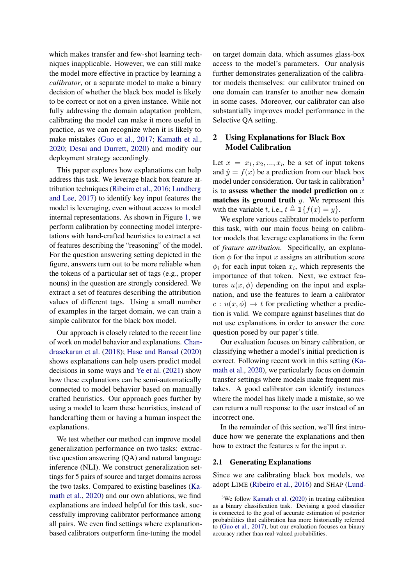which makes transfer and few-shot learning techniques inapplicable. However, we can still make the model more effective in practice by learning a *calibrator*, or a separate model to make a binary decision of whether the black box model is likely to be correct or not on a given instance. While not fully addressing the domain adaptation problem, calibrating the model can make it more useful in practice, as we can recognize when it is likely to make mistakes [\(Guo et al.,](#page-9-0) [2017;](#page-9-0) [Kamath et al.,](#page-9-1) [2020;](#page-9-1) [Desai and Durrett,](#page-9-2) [2020\)](#page-9-2) and modify our deployment strategy accordingly.

This paper explores how explanations can help address this task. We leverage black box feature attribution techniques [\(Ribeiro et al.,](#page-10-0) [2016;](#page-10-0) [Lundberg](#page-9-3) [and Lee,](#page-9-3) [2017\)](#page-9-3) to identify key input features the model is leveraging, even without access to model internal representations. As shown in Figure [1,](#page-0-2) we perform calibration by connecting model interpretations with hand-crafted heuristics to extract a set of features describing the "reasoning" of the model. For the question answering setting depicted in the figure, answers turn out to be more reliable when the tokens of a particular set of tags (e.g., proper nouns) in the question are strongly considered. We extract a set of features describing the attribution values of different tags. Using a small number of examples in the target domain, we can train a simple calibrator for the black box model.

Our approach is closely related to the recent line of work on model behavior and explanations. [Chan](#page-9-4)[drasekaran et al.](#page-9-4) [\(2018\)](#page-9-4); [Hase and Bansal](#page-9-5) [\(2020\)](#page-9-5) shows explanations can help users predict model decisions in some ways and [Ye et al.](#page-10-1) [\(2021\)](#page-10-1) show how these explanations can be semi-automatically connected to model behavior based on manually crafted heuristics. Our approach goes further by using a model to learn these heuristics, instead of handcrafting them or having a human inspect the explanations.

We test whether our method can improve model generalization performance on two tasks: extractive question answering (QA) and natural language inference (NLI). We construct generalization settings for 5 pairs of source and target domains across the two tasks. Compared to existing baselines [\(Ka](#page-9-1)[math et al.,](#page-9-1) [2020\)](#page-9-1) and our own ablations, we find explanations are indeed helpful for this task, successfully improving calibrator performance among all pairs. We even find settings where explanationbased calibrators outperform fine-tuning the model

on target domain data, which assumes glass-box access to the model's parameters. Our analysis further demonstrates generalization of the calibrator models themselves: our calibrator trained on one domain can transfer to another new domain in some cases. Moreover, our calibrator can also substantially improves model performance in the Selective QA setting.

## 2 Using Explanations for Black Box Model Calibration

Let  $x = x_1, x_2, ..., x_n$  be a set of input tokens and  $\hat{y} = f(x)$  be a prediction from our black box model under consideration. Our task in calibration<sup>[3](#page-1-0)</sup> is to assess whether the model prediction on  $x$ matches its ground truth  $y$ . We represent this with the variable t, i.e.,  $t \triangleq \mathbb{1}\{f(x) = y\}.$ 

We explore various calibrator models to perform this task, with our main focus being on calibrator models that leverage explanations in the form of *feature attribution*. Specifically, an explanation  $\phi$  for the input x assigns an attribution score  $\phi_i$  for each input token  $x_i$ , which represents the importance of that token. Next, we extract features  $u(x, \phi)$  depending on the input and explanation, and use the features to learn a calibrator  $c: u(x, \phi) \rightarrow t$  for predicting whether a prediction is valid. We compare against baselines that do not use explanations in order to answer the core question posed by our paper's title.

Our evaluation focuses on binary calibration, or classifying whether a model's initial prediction is correct. Following recent work in this setting [\(Ka](#page-9-1)[math et al.,](#page-9-1) [2020\)](#page-9-1), we particularly focus on domain transfer settings where models make frequent mistakes. A good calibrator can identify instances where the model has likely made a mistake, so we can return a null response to the user instead of an incorrect one.

In the remainder of this section, we'll first introduce how we generate the explanations and then how to extract the features  $u$  for the input  $x$ .

#### <span id="page-1-1"></span>2.1 Generating Explanations

Since we are calibrating black box models, we adopt LIME [\(Ribeiro et al.,](#page-10-0) [2016\)](#page-10-0) and SHAP [\(Lund-](#page-9-3)

<span id="page-1-0"></span><sup>&</sup>lt;sup>3</sup>We follow [Kamath et al.](#page-9-1) [\(2020\) in treating calibration](#page-9-3) [as a binary classification task. Devising a good classifier](#page-9-3) [is connected to the goal of accurate estimation of posterior](#page-9-3) [probabilities that calibration has more historically referred](#page-9-3) to [\(Guo et al.,](#page-9-0) [2017\), but our evaluation focuses on binary](#page-9-3) [accuracy rather than real-valued probabilities.](#page-9-3)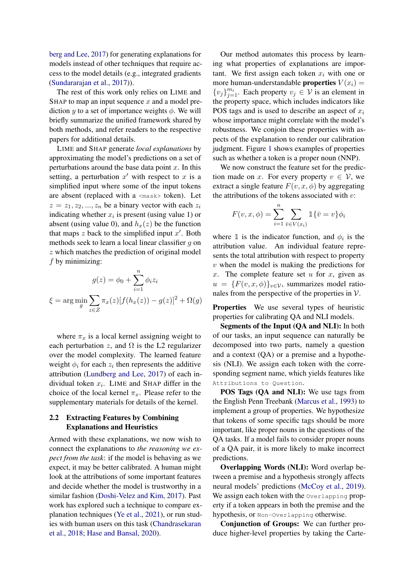[berg and Lee,](#page-9-3) [2017\)](#page-9-3) for generating explanations for models instead of other techniques that require access to the model details (e.g., integrated gradients [\(Sundararajan et al.,](#page-10-2) [2017\)](#page-10-2)).

The rest of this work only relies on LIME and SHAP to map an input sequence  $x$  and a model prediction y to a set of importance weights  $\phi$ . We will briefly summarize the unified framework shared by both methods, and refer readers to the respective papers for additional details.

LIME and SHAP generate *local explanations* by approximating the model's predictions on a set of perturbations around the base data point  $x$ . In this setting, a perturbation  $x'$  with respect to  $x$  is a simplified input where some of the input tokens are absent (replaced with a <mask> token). Let  $z = z_1, z_2, ..., z_n$  be a binary vector with each  $z_i$ indicating whether  $x_i$  is present (using value 1) or absent (using value 0), and  $h_x(z)$  be the function that maps  $z$  back to the simplified input  $x'$ . Both methods seek to learn a local linear classifier  $g$  on z which matches the prediction of original model  $f$  by minimizing:

$$
g(z) = \phi_0 + \sum_{i=1}^n \phi_i z_i
$$

$$
\xi = \arg\min_g \sum_{z \in Z} \pi_x(z) [f(h_x(z)) - g(z)]^2 + \Omega(g)
$$

where  $\pi_x$  is a local kernel assigning weight to each perturbation z, and  $\Omega$  is the L2 regularizer over the model complexity. The learned feature weight  $\phi_i$  for each  $z_i$  then represents the additive attribution [\(Lundberg and Lee,](#page-9-3) [2017\)](#page-9-3) of each individual token  $x_i$ . LIME and SHAP differ in the choice of the local kernel  $\pi_x$ . Please refer to the supplementary materials for details of the kernel.

## 2.2 Extracting Features by Combining Explanations and Heuristics

Armed with these explanations, we now wish to connect the explanations to *the reasoning we expect from the task*: if the model is behaving as we expect, it may be better calibrated. A human might look at the attributions of some important features and decide whether the model is trustworthy in a similar fashion [\(Doshi-Velez and Kim,](#page-9-6) [2017\)](#page-9-6). Past work has explored such a technique to compare explanation techniques [\(Ye et al.,](#page-10-1) [2021\)](#page-10-1), or run studies with human users on this task [\(Chandrasekaran](#page-9-4) [et al.,](#page-9-4) [2018;](#page-9-4) [Hase and Bansal,](#page-9-5) [2020\)](#page-9-5).

Our method automates this process by learning what properties of explanations are important. We first assign each token  $x_i$  with one or more human-understandable **properties**  $V(x_i) =$  ${v_j}_{j=1}^{m_i}$ . Each property  $v_j \in V$  is an element in the property space, which includes indicators like POS tags and is used to describe an aspect of  $x_i$ whose importance might correlate with the model's robustness. We conjoin these properties with aspects of the explanation to render our calibration judgment. Figure [1](#page-0-2) shows examples of properties such as whether a token is a proper noun (NNP).

We now construct the feature set for the prediction made on x. For every property  $v \in V$ , we extract a single feature  $F(v, x, \phi)$  by aggregating the attributions of the tokens associated with  $v$ :

$$
F(v, x, \phi) = \sum_{i=1}^{n} \sum_{\bar{v} \in V(x_i)} \mathbb{1}\{\bar{v} = v\}\phi_i
$$

where  $\mathbbm{1}$  is the indicator function, and  $\phi_i$  is the attribution value. An individual feature represents the total attribution with respect to property  $v$  when the model is making the predictions for x. The complete feature set  $u$  for  $x$ , given as  $u = {F(v, x, \phi)}_{v \in V}$ , summarizes model rationales from the perspective of the properties in  $V$ .

Properties We use several types of heuristic properties for calibrating QA and NLI models.

Segments of the Input (QA and NLI): In both of our tasks, an input sequence can naturally be decomposed into two parts, namely a question and a context (QA) or a premise and a hypothesis (NLI). We assign each token with the corresponding segment name, which yields features like Attributions to Question.

POS Tags (QA and NLI): We use tags from the English Penn Treebank [\(Marcus et al.,](#page-9-7) [1993\)](#page-9-7) to implement a group of properties. We hypothesize that tokens of some specific tags should be more important, like proper nouns in the questions of the QA tasks. If a model fails to consider proper nouns of a QA pair, it is more likely to make incorrect predictions.

Overlapping Words (NLI): Word overlap between a premise and a hypothesis strongly affects neural models' predictions [\(McCoy et al.,](#page-10-3) [2019\)](#page-10-3). We assign each token with the Overlapping property if a token appears in both the premise and the hypothesis, or Non-Overlapping otherwise.

Conjunction of Groups: We can further produce higher-level properties by taking the Carte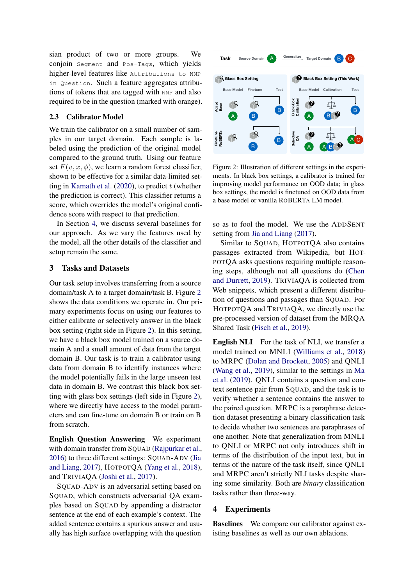sian product of two or more groups. We conjoin Segment and Pos-Tags, which yields higher-level features like Attributions to NNP in Question. Such a feature aggregates attributions of tokens that are tagged with NNP and also required to be in the question (marked with orange).

### 2.3 Calibrator Model

We train the calibrator on a small number of samples in our target domain. Each sample is labeled using the prediction of the original model compared to the ground truth. Using our feature set  $F(v, x, \phi)$ , we learn a random forest classifier, shown to be effective for a similar data-limited set-ting in [Kamath et al.](#page-9-1)  $(2020)$ , to predict t (whether the prediction is correct). This classifier returns a score, which overrides the model's original confidence score with respect to that prediction.

In Section [4,](#page-3-0) we discuss several baselines for our approach. As we vary the features used by the model, all the other details of the classifier and setup remain the same.

#### 3 Tasks and Datasets

Our task setup involves transferring from a source domain/task A to a target domain/task B. Figure [2](#page-3-1) shows the data conditions we operate in. Our primary experiments focus on using our features to either calibrate or selectively answer in the black box setting (right side in Figure [2\)](#page-3-1). In this setting, we have a black box model trained on a source domain A and a small amount of data from the target domain B. Our task is to train a calibrator using data from domain B to identify instances where the model potentially fails in the large unseen test data in domain B. We contrast this black box setting with glass box settings (left side in Figure [2\)](#page-3-1), where we directly have access to the model parameters and can fine-tune on domain B or train on B from scratch.

English Question Answering We experiment with domain transfer from SQUAD [\(Rajpurkar et al.,](#page-10-4) [2016\)](#page-10-4) to three different settings: SQUAD-ADV [\(Jia](#page-9-8) [and Liang,](#page-9-8) [2017\)](#page-9-8), HOTPOTQA [\(Yang et al.,](#page-10-5) [2018\)](#page-10-5), and TRIVIAQA [\(Joshi et al.,](#page-9-9) [2017\)](#page-9-9).

SQUAD-ADV is an adversarial setting based on SQUAD, which constructs adversarial QA examples based on SQUAD by appending a distractor sentence at the end of each example's context. The added sentence contains a spurious answer and usually has high surface overlapping with the question

<span id="page-3-1"></span>

Figure 2: Illustration of different settings in the experiments. In black box settings, a calibrator is trained for improving model performance on OOD data; in glass box settings, the model is finetuned on OOD data from a base model or vanilla ROBERTA LM model.

so as to fool the model. We use the ADDSENT setting from [Jia and Liang](#page-9-8) [\(2017\)](#page-9-8).

Similar to SQUAD, HOTPOTQA also contains passages extracted from Wikipedia, but HOT-POTQA asks questions requiring multiple reasoning steps, although not all questions do [\(Chen](#page-9-10) [and Durrett,](#page-9-10) [2019\)](#page-9-10). TRIVIAQA is collected from Web snippets, which present a different distribution of questions and passages than SQUAD. For HOTPOTQA and TRIVIAQA, we directly use the pre-processed version of dataset from the MRQA Shared Task [\(Fisch et al.,](#page-9-11) [2019\)](#page-9-11).

English NLI For the task of NLI, we transfer a model trained on MNLI [\(Williams et al.,](#page-10-6) [2018\)](#page-10-6) to MRPC [\(Dolan and Brockett,](#page-9-12) [2005\)](#page-9-12) and QNLI [\(Wang et al.,](#page-10-7) [2019\)](#page-10-7), similar to the settings in [Ma](#page-9-13) [et al.](#page-9-13) [\(2019\)](#page-9-13). QNLI contains a question and context sentence pair from SQUAD, and the task is to verify whether a sentence contains the answer to the paired question. MRPC is a paraphrase detection dataset presenting a binary classification task to decide whether two sentences are paraphrases of one another. Note that generalization from MNLI to QNLI or MRPC not only introduces shift in terms of the distribution of the input text, but in terms of the nature of the task itself, since QNLI and MRPC aren't strictly NLI tasks despite sharing some similarity. Both are *binary* classification tasks rather than three-way.

#### <span id="page-3-0"></span>4 Experiments

Baselines We compare our calibrator against existing baselines as well as our own ablations.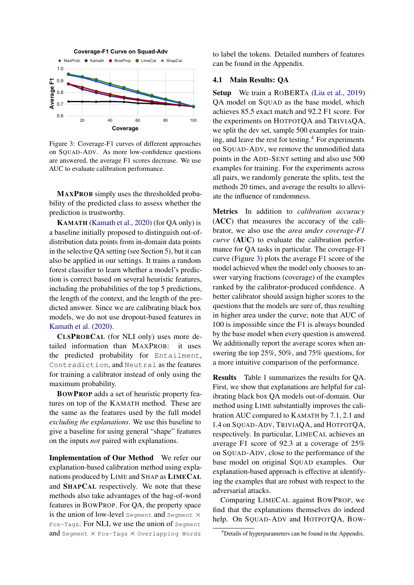<span id="page-4-1"></span>

Figure 3: Coverage-F1 curves of different approaches on SQUAD-ADV. As more low-confidence questions are answered, the average F1 scores decrease. We use AUC to evaluate calibration performance.

MAXPROB simply uses the thresholded probability of the predicted class to assess whether the prediction is trustworthy.

KAMATH [\(Kamath et al.,](#page-9-1) [2020\)](#page-9-1) (for QA only) is a baseline initially proposed to distinguish out-ofdistribution data points from in-domain data points in the selective QA setting (see Section [5\)](#page-7-0), but it can also be applied in our settings. It trains a random forest classifier to learn whether a model's prediction is correct based on several heuristic features, including the probabilities of the top 5 predictions, the length of the context, and the length of the predicted answer. Since we are calibrating black box models, we do not use dropout-based features in [Kamath et al.](#page-9-1) [\(2020\)](#page-9-1).

CLSPROBCAL (for NLI only) uses more detailed information than MAXPROB: it uses the predicted probability for Entailment, Contradiction, and Neutral as the features for training a calibrator instead of only using the maximum probability.

BOWPROP adds a set of heuristic property features on top of the KAMATH method. These are the same as the features used by the full model *excluding the explanations*. We use this baseline to give a baseline for using general "shape" features on the inputs *not* paired with explanations.

Implementation of Our Method We refer our explanation-based calibration method using explanations produced by LIME and SHAP as LIMECAL and SHAPCAL respectively. We note that these methods also take advantages of the bag-of-word features in BOWPROP. For QA, the property space is the union of low-level segment and segment  $\times$ Pos-Tags. For NLI, we use the union of Segment and Segment × Pos-Tags × Overlapping Words

to label the tokens. Detailed numbers of features can be found in the Appendix.

### 4.1 Main Results: QA

Setup We train a ROBERTA [\(Liu et al.,](#page-9-14) [2019\)](#page-9-14) QA model on SQUAD as the base model, which achieves 85.5 exact match and 92.2 F1 score. For the experiments on HOTPOTQA and TRIVIAQA, we split the dev set, sample 500 examples for training, and leave the rest for testing. $4$  For experiments on SQUAD-ADV, we remove the unmodified data points in the ADD-SENT setting and also use 500 examples for training. For the experiments across all pairs, we randomly generate the splits, test the methods 20 times, and average the results to alleviate the influence of randomness.

Metrics In addition to *calibration accuracy* (ACC) that measures the accuracy of the calibrator, we also use the *area under coverage-F1 curve* (AUC) to evaluate the calibration performance for QA tasks in particular. The coverage-F1 curve (Figure [3\)](#page-4-1) plots the average F1 score of the model achieved when the model only chooses to answer varying fractions (coverage) of the examples ranked by the calibrator-produced confidence. A better calibrator should assign higher scores to the questions that the models are sure of, thus resulting in higher area under the curve; note that AUC of 100 is impossible since the F1 is always bounded by the base model when every question is answered. We additionally report the average scores when answering the top 25%, 50%, and 75% questions, for a more intuitive comparison of the performance.

Results Table [1](#page-5-0) summarizes the results for QA. First, we show that explanations are helpful for calibrating black box QA models out-of-domain. Our method using LIME substantially improves the calibration AUC compared to KAMATH by 7.1, 2.1 and 1.4 on SQUAD-ADV, TRIVIAQA, and HOTPOTQA, respectively. In particular, LIMECAL achieves an average F1 score of 92.3 at a coverage of 25% on SQUAD-ADV, close to the performance of the base model on original SQUAD examples. Our explanation-based approach is effective at identifying the examples that are robust with respect to the adversarial attacks.

Comparing LIMECAL against BOWPROP, we find that the explanations themselves do indeed help. On SQUAD-ADV and HOTPOTQA, BOW-

<span id="page-4-0"></span><sup>4</sup>Details of hyperparameters can be found in the Appendix.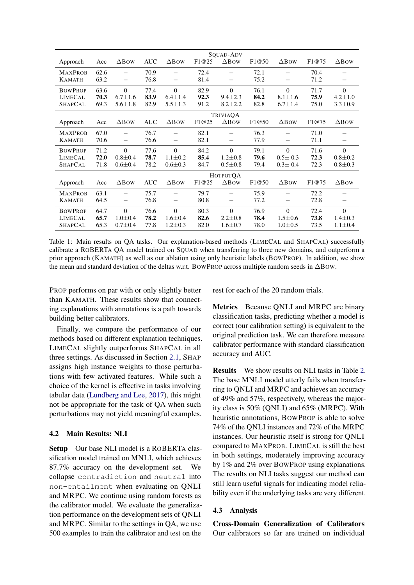<span id="page-5-0"></span>

|                |      |                          |            |                 |       | SOUAD-ADV       |       |                          |       |                          |
|----------------|------|--------------------------|------------|-----------------|-------|-----------------|-------|--------------------------|-------|--------------------------|
| Approach       | Acc  | $\Delta$ BOW             | <b>AUC</b> | $\Delta$ BOW    | F1@25 | $\triangle$ Bow | F1@50 | $\Delta$ BOW             | F1@75 | $\Delta$ Bow             |
| <b>MAXPROB</b> | 62.6 |                          | 70.9       |                 | 72.4  |                 | 72.1  |                          | 70.4  |                          |
| <b>KAMATH</b>  | 63.2 |                          | 76.8       | -               | 81.4  | -               | 75.2  | -                        | 71.2  | $\overline{\phantom{0}}$ |
| <b>BOWPROP</b> | 63.6 | $\Omega$                 | 77.4       | $\theta$        | 82.9  | $\Omega$        | 76.1  | $\theta$                 | 71.7  | $\Omega$                 |
| <b>LIMECAL</b> | 70.3 | $6.7 \pm 1.6$            | 83.9       | $6.4 \pm 1.4$   | 92.3  | $9.4 \pm 2.3$   | 84.2  | $8.1 \pm 1.6$            | 75.9  | $4.2 \pm 1.0$            |
| <b>SHAPCAL</b> | 69.3 | $5.6 \pm 1.8$            | 82.9       | $5.5 \pm 1.3$   | 91.2  | $8.2 \pm 2.2$   | 82.8  | $6.7 \pm 1.4$            | 75.0  | $3.3 \pm 0.9$            |
|                |      |                          |            |                 |       | TRIVIAQA        |       |                          |       |                          |
| Approach       | Acc  | $\Delta$ Bow             | <b>AUC</b> | $\triangle$ BOW | F1@25 | $\triangle$ Bow | F1@50 | $\triangle$ Bow          | F1@75 | $\triangle$ Bow          |
| <b>MAXPROB</b> | 67.0 | $\overline{\phantom{0}}$ | 76.7       |                 | 82.1  |                 | 76.3  |                          | 71.0  |                          |
| <b>KAMATH</b>  | 70.6 | $\overline{\phantom{0}}$ | 76.6       |                 | 82.1  |                 | 77.9  | $\overline{\phantom{0}}$ | 71.1  |                          |
| <b>BOWPROP</b> | 71.2 | $\Omega$                 | 77.6       | $\theta$        | 84.2  | $\Omega$        | 79.1  | $\theta$                 | 71.6  | $\theta$                 |
| LIMECAL        | 72.0 | $0.8 + 0.4$              | 78.7       | $1.1 \pm 0.2$   | 85.4  | $1.2 \pm 0.8$   | 79.6  | $0.5 \pm 0.3$            | 72.3  | $0.8 \pm 0.2$            |
| <b>SHAPCAL</b> | 71.8 | $0.6 \pm 0.4$            | 78.2       | $0.6 \pm 0.3$   | 84.7  | $0.5 \pm 0.8$   | 79.4  | $0.3 \pm 0.4$            | 72.3  | $0.8 + 0.3$              |
|                |      |                          |            |                 |       | <b>НОТРОТОА</b> |       |                          |       |                          |
| Approach       | Acc  | $\Delta$ Bow             | <b>AUC</b> | $\triangle$ BOW | F1@25 | $\triangle$ Bow | F1@50 | $\triangle$ Bow          | F1@75 | $\triangle$ Bow          |
| <b>MAXPROB</b> | 63.1 |                          | 75.7       |                 | 79.7  |                 | 75.9  |                          | 72.2  |                          |
| <b>KAMATH</b>  | 64.5 |                          | 76.8       | —               | 80.8  | -               | 77.2  | -                        | 72.8  | —                        |
| <b>BOWPROP</b> | 64.7 | $\Omega$                 | 76.6       | $\theta$        | 80.3  | $\Omega$        | 76.9  | $\theta$                 | 72.4  | $\theta$                 |
| <b>LIMECAL</b> | 65.7 | $1.0 \pm 0.4$            | 78.2       | $1.6 \pm 0.4$   | 82.6  | $2.2 \pm 0.8$   | 78.4  | $1.5 \pm 0.6$            | 73.8  | $1.4 \pm 0.3$            |
| <b>SHAPCAL</b> | 65.3 | $0.7 + 0.4$              | 77.8       | $1.2 \pm 0.3$   | 82.0  | $1.6 \pm 0.7$   | 78.0  | $1.0 \pm 0.5$            | 73.5  | $1.1 \pm 0.4$            |

Table 1: Main results on QA tasks. Our explanation-based methods (LIMECAL and SHAPCAL) successfully calibrate a ROBERTA QA model trained on SQUAD when transferring to three new domains, and outperform a prior approach (KAMATH) as well as our ablation using only heuristic labels (BOWPROP). In addition, we show the mean and standard deviation of the deltas w.r.t. BOWPROP across multiple random seeds in ∆BOW.

PROP performs on par with or only slightly better than KAMATH. These results show that connecting explanations with annotations is a path towards building better calibrators.

Finally, we compare the performance of our methods based on different explanation techniques. LIMECAL slightly outperforms SHAPCAL in all three settings. As discussed in Section [2.1,](#page-1-1) SHAP assigns high instance weights to those perturbations with few activated features. While such a choice of the kernel is effective in tasks involving tabular data [\(Lundberg and Lee,](#page-9-3) [2017\)](#page-9-3), this might not be appropriate for the task of QA when such perturbations may not yield meaningful examples.

### 4.2 Main Results: NLI

Setup Our base NLI model is a ROBERTA classification model trained on MNLI, which achieves 87.7% accuracy on the development set. We collapse contradiction and neutral into non-entailment when evaluating on QNLI and MRPC. We continue using random forests as the calibrator model. We evaluate the generalization performance on the development sets of QNLI and MRPC. Similar to the settings in QA, we use 500 examples to train the calibrator and test on the rest for each of the 20 random trials.

Metrics Because QNLI and MRPC are binary classification tasks, predicting whether a model is correct (our calibration setting) is equivalent to the original prediction task. We can therefore measure calibrator performance with standard classification accuracy and AUC.

Results We show results on NLI tasks in Table [2.](#page-6-0) The base MNLI model utterly fails when transferring to QNLI and MRPC and achieves an accuracy of 49% and 57%, respectively, whereas the majority class is 50% (QNLI) and 65% (MRPC). With heuristic annotations, BOWPROP is able to solve 74% of the QNLI instances and 72% of the MRPC instances. Our heuristic itself is strong for QNLI compared to MAXPROB. LIMECAL is still the best in both settings, moderately improving accuracy by 1% and 2% over BOWPROP using explanations. The results on NLI tasks suggest our method can still learn useful signals for indicating model reliability even if the underlying tasks are very different.

#### 4.3 Analysis

Cross-Domain Generalization of Calibrators Our calibrators so far are trained on individual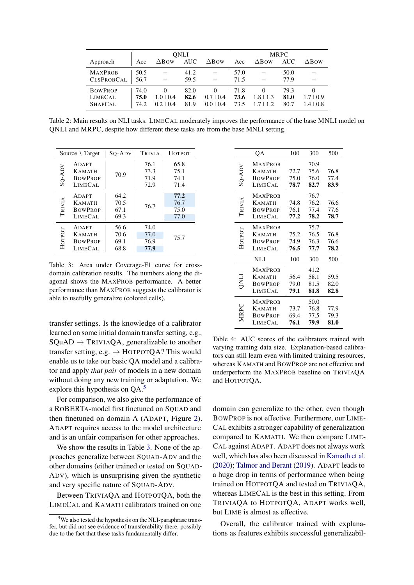<span id="page-6-0"></span>

|                   | <b>ONLI</b> |                 |            |                 |      | <b>MRPC</b>     |            |               |  |
|-------------------|-------------|-----------------|------------|-----------------|------|-----------------|------------|---------------|--|
| Approach          | Acc         | $\triangle$ BOW | <b>AUC</b> | $\triangle$ Bow | Acc  | $\triangle$ Bow | <b>AUC</b> | $\Delta$ BOW  |  |
| <b>MAXPROB</b>    | 50.5        |                 | 41.2       |                 | 57.0 |                 | 50.0       |               |  |
| <b>CLSPROBCAL</b> | 56.7        |                 | 59.5       |                 | 71.5 |                 | 77.9       |               |  |
| <b>BOWPROP</b>    | 74.0        |                 | 82.0       |                 | 71.8 |                 | 79.3       |               |  |
| <b>LIMECAL</b>    | 75.0        | $1.0 \pm 0.4$   | 82.6       | $0.7 \pm 0.4$   | 73.6 | $1.8 \pm 1.3$   | 81.0       | $1.7 \pm 0.9$ |  |
| <b>SHAPCAL</b>    | 74.2        | $0.2 + 0.4$     | 81.9       | $0.0 \pm 0.4$   | 73.5 | $1.7 + 1.2$     | 80.7       | $1.4 \pm 0.8$ |  |

Table 2: Main results on NLI tasks. LIMECAL moderately improves the performance of the base MNLI model on QNLI and MRPC, despite how different these tasks are from the base MNLI setting.

<span id="page-6-2"></span>

|          | Source $\setminus$ Target                                  | So-A <sub>D</sub>            | <b>TRIVIA</b>                | Нотрот                       |
|----------|------------------------------------------------------------|------------------------------|------------------------------|------------------------------|
| $SO-ADV$ | ADAPT<br><b>KAMATH</b><br><b>BOWPROP</b><br>LIMECAL        | 70.9                         | 76.1<br>73.3<br>71.9<br>72.9 | 65.8<br>75.1<br>74.1<br>71.4 |
| TRIVIA   | <b>ADAPT</b><br><b>KAMATH</b><br><b>BOWPROP</b><br>LIMECAL | 64.2<br>70.5<br>67.1<br>69.3 | 76.7                         | 77.2<br>76.7<br>75.0<br>77.0 |
| Нотрот   | ADAPT<br><b>KAMATH</b><br><b>BOWPROP</b><br>LIMECAL        | 56.6<br>70.6<br>69.1<br>68.8 | 74.0<br>77.0<br>76.9<br>77.9 | 75.7                         |

Table 3: Area under Coverage-F1 curve for crossdomain calibration results. The numbers along the diagonal shows the MAXPROB performance. A better performance than MAXPROB suggests the calibrator is able to usefully generalize (colored cells).

transfer settings. Is the knowledge of a calibrator learned on some initial domain transfer setting, e.g.,  $SQuAD \rightarrow TRIVIAOA$ , generalizable to another transfer setting, e.g.  $\rightarrow$  HOTPOTQA? This would enable us to take our basic QA model and a calibrator and apply *that pair* of models in a new domain without doing any new training or adaptation. We explore this hypothesis on QA.<sup>[5](#page-6-1)</sup>

For comparison, we also give the performance of a ROBERTA-model first finetuned on SOUAD and then finetuned on domain A (ADAPT, Figure [2\)](#page-3-1). ADAPT requires access to the model architecture and is an unfair comparison for other approaches.

We show the results in Table [3.](#page-6-2) None of the approaches generalize between SQUAD-ADV and the other domains (either trained or tested on SQUAD-ADV), which is unsurprising given the synthetic and very specific nature of SQUAD-ADV.

Between TRIVIAQA and HOTPOTQA, both the LIMECAL and KAMATH calibrators trained on one

<span id="page-6-3"></span>

|          | QA             | 100  | 300  | 500  |
|----------|----------------|------|------|------|
|          | <b>MAXPROB</b> |      | 70.9 |      |
| $SO-ADV$ | <b>KAMATH</b>  | 72.7 | 75.6 | 76.8 |
|          | <b>BOWPROP</b> | 75.0 | 76.0 | 77.4 |
|          | <b>LIMECAL</b> | 78.7 | 82.7 | 83.9 |
|          | <b>MAXPROB</b> |      | 76.7 |      |
| TRIVIA   | <b>KAMATH</b>  | 74.8 | 76.2 | 76.6 |
|          | <b>BOWPROP</b> | 76.1 | 77.4 | 77.6 |
|          | <b>LIMECAL</b> | 77.2 | 78.2 | 78.7 |
|          | <b>MAXPROB</b> |      | 75.7 |      |
| HOTPOT   | <b>KAMATH</b>  | 75.2 | 76.5 | 76.8 |
|          | <b>BOWPROP</b> | 74.9 | 76.3 | 76.6 |
|          | <b>LIMECAL</b> | 76.5 | 77.7 | 78.2 |
|          | NLI            | 100  | 300  | 500  |
|          | <b>MAXPROB</b> |      | 41.2 |      |
| LIND     | <b>KAMATH</b>  | 56.4 | 58.1 | 59.5 |
|          | <b>BOWPROP</b> | 79.0 | 81.5 | 82.0 |
|          | <b>LIMECAL</b> | 79.1 | 81.8 | 82.8 |
|          | <b>MAXPROB</b> |      | 50.0 |      |
| MRPC     | <b>KAMATH</b>  | 73.7 | 76.8 | 77.9 |
|          | <b>BOWPROP</b> | 69.4 | 77.5 | 79.3 |
|          | LIMECAL        | 76.1 | 79.9 | 81.0 |
|          |                |      |      |      |

Table 4: AUC scores of the calibrators trained with varying training data size. Explanation-based calibrators can still learn even with limited training resources, whereas KAMATH and BOWPROP are not effective and underperform the MAXPROB baseline on TRIVIAQA and HOTPOTQA.

domain can generalize to the other, even though BOWPROP is not effective. Furthermore, our LIME-CAL exhibits a stronger capability of generalization compared to KAMATH. We then compare LIME-CAL against ADAPT. ADAPT does not always work well, which has also been discussed in [Kamath et al.](#page-9-1) [\(2020\)](#page-9-1); [Talmor and Berant](#page-10-8) [\(2019\)](#page-10-8). ADAPT leads to a huge drop in terms of performance when being trained on HOTPOTQA and tested on TRIVIAQA, whereas LIMECAL is the best in this setting. From TRIVIAQA to HOTPOTQA, ADAPT works well, but LIME is almost as effective.

Overall, the calibrator trained with explanations as features exhibits successful generalizabil-

<span id="page-6-1"></span><sup>&</sup>lt;sup>5</sup>We also tested the hypothesis on the NLI-paraphrase transfer, but did not see evidence of transferability there, possibly due to the fact that these tasks fundamentally differ.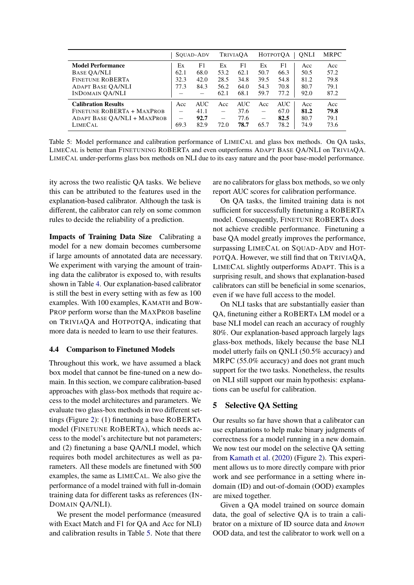<span id="page-7-1"></span>

|                             |                          | SOUAD-ADV  |                          | <b>TRIVIAOA</b> |                          | <b>НОТРОТОА</b> | ONLI | <b>MRPC</b> |
|-----------------------------|--------------------------|------------|--------------------------|-----------------|--------------------------|-----------------|------|-------------|
| <b>Model Performance</b>    | Ex                       | F1         | Ex                       | F1              | Ex                       | F1              | Acc  | Acc         |
| <b>BASE QA/NLI</b>          | 62.1                     | 68.0       | 53.2                     | 62.1            | 50.7                     | 66.3            | 50.5 | 57.2        |
| <b>FINETUNE ROBERTA</b>     | 32.3                     | 42.0       | 28.5                     | 34.8            | 39.5                     | 54.8            | 81.2 | 79.8        |
| <b>ADAPT BASE OA/NLI</b>    | 77.3                     | 84.3       | 56.2                     | 64.0            | 54.3                     | 70.8            | 80.7 | 79.1        |
| <b>INDOMAIN OA/NLI</b>      |                          |            | 62.1                     | 68.1            | 59.7                     | 77.2            | 92.0 | 87.2        |
| <b>Calibration Results</b>  | Acc                      | <b>AUC</b> | Acc                      | <b>AUC</b>      | Acc                      | AUC.            | Acc  | Acc         |
| FINETUNE ROBERTA + MAXPROB  | $\overline{\phantom{0}}$ | 41.1       | $\overline{\phantom{0}}$ | 37.6            | $\overline{\phantom{0}}$ | 67.0            | 81.2 | 79.8        |
| ADAPT BASE QA/NLI + MAXPROB | $\overline{\phantom{0}}$ | 92.7       |                          | 77.6            | $\overline{\phantom{0}}$ | 82.5            | 80.7 | 79.1        |
| <b>LIMECAL</b>              | 69.3                     | 82.9       | 72.0                     | 78.7            | 65.7                     | 78.2            | 74.9 | 73.6        |

Table 5: Model performance and calibration performance of LIMECAL and glass box methods. On QA tasks, LIMECAL is better than FINETUNING ROBERTA and even outperforms ADAPT BASE QA/NLI on TRIVIAQA. LIMECAL under-performs glass box methods on NLI due to its easy nature and the poor base-model performance.

ity across the two realistic QA tasks. We believe this can be attributed to the features used in the explanation-based calibrator. Although the task is different, the calibrator can rely on some common rules to decide the reliability of a prediction.

Impacts of Training Data Size Calibrating a model for a new domain becomes cumbersome if large amounts of annotated data are necessary. We experiment with varying the amount of training data the calibrator is exposed to, with results shown in Table [4.](#page-6-3) Our explanation-based calibrator is still the best in every setting with as few as 100 examples. With 100 examples, KAMATH and BOW-PROP perform worse than the MAXPROB baseline on TRIVIAQA and HOTPOTQA, indicating that more data is needed to learn to use their features.

### 4.4 Comparison to Finetuned Models

Throughout this work, we have assumed a black box model that cannot be fine-tuned on a new domain. In this section, we compare calibration-based approaches with glass-box methods that require access to the model architectures and parameters. We evaluate two glass-box methods in two different settings (Figure [2\)](#page-3-1): (1) finetuning a base ROBERTA model (FINETUNE ROBERTA), which needs access to the model's architecture but not parameters; and (2) finetuning a base QA/NLI model, which requires both model architectures as well as parameters. All these models are finetuned with 500 examples, the same as LIMECAL. We also give the performance of a model trained with full in-domain training data for different tasks as references (IN-DOMAIN QA/NLI).

We present the model performance (measured with Exact Match and F1 for QA and Acc for NLI) and calibration results in Table [5.](#page-7-1) Note that there are no calibrators for glass box methods, so we only report AUC scores for calibration performance.

On QA tasks, the limited training data is not sufficient for successfully finetuning a ROBERTA model. Consequently, FINETUNE ROBERTA does not achieve credible performance. Finetuning a base QA model greatly improves the performance, surpassing LIMECAL on SQUAD-ADV and HOT-POTQA. However, we still find that on TRIVIAQA, LIMECAL slightly outperforms ADAPT. This is a surprising result, and shows that explanation-based calibrators can still be beneficial in some scenarios, even if we have full access to the model.

On NLI tasks that are substantially easier than QA, finetuning either a ROBERTA LM model or a base NLI model can reach an accuracy of roughly 80%. Our explanation-based approach largely lags glass-box methods, likely because the base NLI model utterly fails on QNLI (50.5% accuracy) and MRPC (55.0% accuracy) and does not grant much support for the two tasks. Nonetheless, the results on NLI still support our main hypothesis: explanations can be useful for calibration.

## <span id="page-7-0"></span>5 Selective QA Setting

Our results so far have shown that a calibrator can use explanations to help make binary judgments of correctness for a model running in a new domain. We now test our model on the selective QA setting from [Kamath et al.](#page-9-1) [\(2020\)](#page-9-1) (Figure [2\)](#page-3-1). This experiment allows us to more directly compare with prior work and see performance in a setting where indomain (ID) and out-of-domain (OOD) examples are mixed together.

Given a QA model trained on source domain data, the goal of selective QA is to train a calibrator on a mixture of ID source data and *known* OOD data, and test the calibrator to work well on a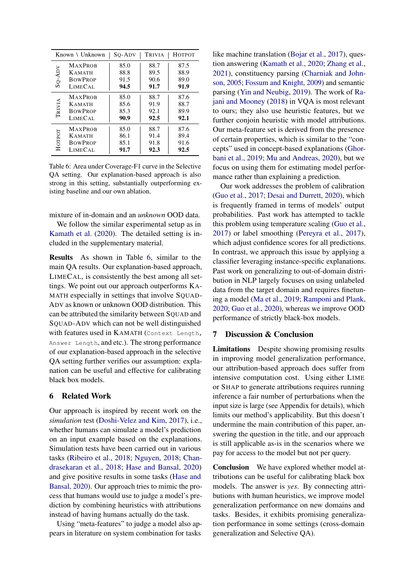<span id="page-8-0"></span>

|          | Known \ Unknown | So-Adv | <b>TRIVIA</b> | <b>HOTPOT</b> |
|----------|-----------------|--------|---------------|---------------|
|          | <b>MAXPROB</b>  | 85.0   | 88.7          | 87.5          |
|          | <b>KAMATH</b>   | 88.8   | 89.5          | 88.9          |
| $SO-ADV$ | <b>BOWPROP</b>  | 91.5   | 90.6          | 89.0          |
|          | LIMECAL         | 94.5   | 91.7          | 91.9          |
|          | <b>MAXPROB</b>  | 85.0   | 88.7          | 87.6          |
|          | <b>KAMATH</b>   | 85.6   | 91.9          | 88.7          |
| TRIVIA   | <b>BOWPROP</b>  | 85.3   | 92.1          | 89.9          |
|          | LIMECAL         | 90.9   | 92.5          | 92.1          |
|          | <b>MAXPROB</b>  | 85.0   | 88.7          | 87.6          |
|          | <b>KAMATH</b>   | 86.1   | 91.4          | 89.4          |
| Нотрот   | <b>BOWPROP</b>  | 85.1   | 91.8          | 91.6          |
|          | LIMECAL         | 91.7   | 92.3          | 92.5          |

Table 6: Area under Coverage-F1 curve in the Selective QA setting. Our explanation-based approach is also strong in this setting, substantially outperforming existing baseline and our own ablation.

mixture of in-domain and an *unknown* OOD data.

We follow the similar experimental setup as in [Kamath et al.](#page-9-1) [\(2020\)](#page-9-1). The detailed setting is included in the supplementary material.

Results As shown in Table [6,](#page-8-0) similar to the main QA results. Our explanation-based approach, LIMECAL, is consistently the best among all settings. We point out our approach outperforms KA-MATH especially in settings that involve SQUAD-ADV as known or unknown OOD distribution. This can be attributed the similarity between SQUAD and SQUAD-ADV which can not be well distinguished with features used in KAMATH (Context Length, Answer Length, and etc.). The strong performance of our explanation-based approach in the selective QA setting further verifies our assumption: explanation can be useful and effective for calibrating black box models.

### 6 Related Work

Our approach is inspired by recent work on the *simulation* test [\(Doshi-Velez and Kim,](#page-9-6) [2017\)](#page-9-6), i.e., whether humans can simulate a model's prediction on an input example based on the explanations. Simulation tests have been carried out in various tasks [\(Ribeiro et al.,](#page-10-9) [2018;](#page-10-9) [Nguyen,](#page-10-10) [2018;](#page-10-10) [Chan](#page-9-4)[drasekaran et al.,](#page-9-4) [2018;](#page-9-4) [Hase and Bansal,](#page-9-5) [2020\)](#page-9-5) and give positive results in some tasks [\(Hase and](#page-9-5) [Bansal,](#page-9-5) [2020\)](#page-9-5). Our approach tries to mimic the process that humans would use to judge a model's prediction by combining heuristics with attributions instead of having humans actually do the task.

Using "meta-features" to judge a model also appears in literature on system combination for tasks

like machine translation [\(Bojar et al.,](#page-9-15) [2017\)](#page-9-15), question answering [\(Kamath et al.,](#page-9-1) [2020;](#page-9-1) [Zhang et al.,](#page-10-11) [2021\)](#page-10-11), constituency parsing [\(Charniak and John](#page-9-16)[son,](#page-9-16) [2005;](#page-9-16) [Fossum and Knight,](#page-9-17) [2009\)](#page-9-17) and semantic parsing [\(Yin and Neubig,](#page-10-12) [2019\)](#page-10-12). The work of [Ra](#page-10-13)[jani and Mooney](#page-10-13) [\(2018\)](#page-10-13) in VQA is most relevant to ours; they also use heuristic features, but we further conjoin heuristic with model attributions. Our meta-feature set is derived from the presence of certain properties, which is similar to the "concepts" used in concept-based explanations [\(Ghor](#page-9-18)[bani et al.,](#page-9-18) [2019;](#page-9-18) [Mu and Andreas,](#page-10-14) [2020\)](#page-10-14), but we focus on using them for estimating model performance rather than explaining a prediction.

Our work addresses the problem of calibration [\(Guo et al.,](#page-9-0) [2017;](#page-9-0) [Desai and Durrett,](#page-9-2) [2020\)](#page-9-2), which is frequently framed in terms of models' output probabilities. Past work has attempted to tackle this problem using temperature scaling [\(Guo et al.,](#page-9-0) [2017\)](#page-9-0) or label smoothing [\(Pereyra et al.,](#page-10-15) [2017\)](#page-10-15), which adjust confidence scores for all predictions. In contrast, we approach this issue by applying a classifier leveraging instance-specific explanations. Past work on generalizing to out-of-domain distribution in NLP largely focuses on using unlabeled data from the target domain and requires finetuning a model [\(Ma et al.,](#page-9-13) [2019;](#page-9-13) [Ramponi and Plank,](#page-10-16) [2020;](#page-10-16) [Guo et al.,](#page-9-19) [2020\)](#page-9-19), whereas we improve OOD performance of strictly black-box models.

### 7 Discussion & Conclusion

Limitations Despite showing promising results in improving model generalization performance, our attribution-based approach does suffer from intensive computation cost. Using either LIME or SHAP to generate attributions requires running inference a fair number of perturbations when the input size is large (see Appendix for details), which limits our method's applicability. But this doesn't undermine the main contribution of this paper, answering the question in the title, and our approach is still applicable as-is in the scenarios where we pay for access to the model but not per query.

Conclusion We have explored whether model attributions can be useful for calibrating black box models. The answer is *yes*. By connecting attributions with human heuristics, we improve model generalization performance on new domains and tasks. Besides, it exhibits promising generalization performance in some settings (cross-domain generalization and Selective QA).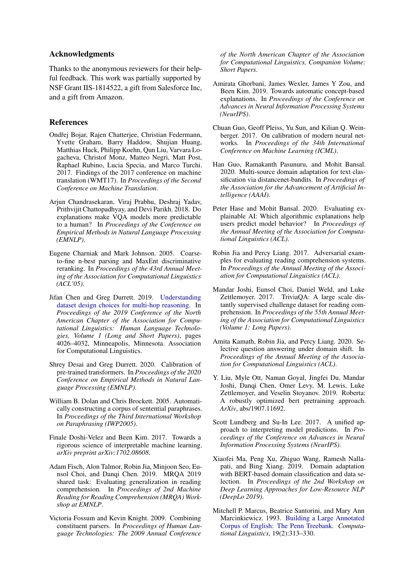### Acknowledgments

Thanks to the anonymous reviewers for their helpful feedback. This work was partially supported by NSF Grant IIS-1814522, a gift from Salesforce Inc, and a gift from Amazon.

### References

- <span id="page-9-15"></span>Ondřej Bojar, Rajen Chatterjee, Christian Federmann, Yvette Graham, Barry Haddow, Shujian Huang, Matthias Huck, Philipp Koehn, Qun Liu, Varvara Logacheva, Christof Monz, Matteo Negri, Matt Post, Raphael Rubino, Lucia Specia, and Marco Turchi. 2017. Findings of the 2017 conference on machine translation (WMT17). In *Proceedings of the Second Conference on Machine Translation*.
- <span id="page-9-4"></span>Arjun Chandrasekaran, Viraj Prabhu, Deshraj Yadav, Prithvijit Chattopadhyay, and Devi Parikh. 2018. Do explanations make VQA models more predictable to a human? In *Proceedings of the Conference on Empirical Methods in Natural Language Processing (EMNLP)*.
- <span id="page-9-16"></span>Eugene Charniak and Mark Johnson. 2005. Coarseto-fine n-best parsing and MaxEnt discriminative reranking. In *Proceedings of the 43rd Annual Meeting of the Association for Computational Linguistics (ACL'05)*.
- <span id="page-9-10"></span>Jifan Chen and Greg Durrett. 2019. [Understanding](https://doi.org/10.18653/v1/N19-1405) [dataset design choices for multi-hop reasoning.](https://doi.org/10.18653/v1/N19-1405) In *Proceedings of the 2019 Conference of the North American Chapter of the Association for Computational Linguistics: Human Language Technologies, Volume 1 (Long and Short Papers)*, pages 4026–4032, Minneapolis, Minnesota. Association for Computational Linguistics.
- <span id="page-9-2"></span>Shrey Desai and Greg Durrett. 2020. Calibration of pre-trained transformers. In *Proceedings of the 2020 Conference on Empirical Methods in Natural Language Processing (EMNLP)*.
- <span id="page-9-12"></span>William B. Dolan and Chris Brockett. 2005. Automatically constructing a corpus of sentential paraphrases. In *Proceedings of the Third International Workshop on Paraphrasing (IWP2005)*.
- <span id="page-9-6"></span>Finale Doshi-Velez and Been Kim. 2017. Towards a rigorous science of interpretable machine learning. *arXiv preprint arXiv:1702.08608*.
- <span id="page-9-11"></span>Adam Fisch, Alon Talmor, Robin Jia, Minjoon Seo, Eunsol Choi, and Danqi Chen. 2019. MRQA 2019 shared task: Evaluating generalization in reading comprehension. In *Proceedings of 2nd Machine Reading for Reading Comprehension (MRQA) Workshop at EMNLP*.
- <span id="page-9-17"></span>Victoria Fossum and Kevin Knight. 2009. Combining constituent parsers. In *Proceedings of Human Language Technologies: The 2009 Annual Conference*

*of the North American Chapter of the Association for Computational Linguistics, Companion Volume: Short Papers*.

- <span id="page-9-18"></span>Amirata Ghorbani, James Wexler, James Y Zou, and Been Kim. 2019. Towards automatic concept-based explanations. In *Proceedings of the Conference on Advances in Neural Information Processing Systems (NeurIPS)*.
- <span id="page-9-0"></span>Chuan Guo, Geoff Pleiss, Yu Sun, and Kilian Q. Weinberger. 2017. On calibration of modern neural networks. In *Proceedings of the 34th International Conference on Machine Learning (ICML)*.
- <span id="page-9-19"></span>Han Guo, Ramakanth Pasunuru, and Mohit Bansal. 2020. Multi-source domain adaptation for text classification via distancenet-bandits. In *Proceedings of the Association for the Advancement of Artificial Intelligence (AAAI)*.
- <span id="page-9-5"></span>Peter Hase and Mohit Bansal. 2020. Evaluating explainable AI: Which algorithmic explanations help users predict model behavior? In *Proceedings of the Annual Meeting of the Association for Computational Linguistics (ACL)*.
- <span id="page-9-8"></span>Robin Jia and Percy Liang. 2017. Adversarial examples for evaluating reading comprehension systems. In *Proceedings of the Annual Meeting of the Association for Computational Linguistics (ACL)*.
- <span id="page-9-9"></span>Mandar Joshi, Eunsol Choi, Daniel Weld, and Luke Zettlemoyer. 2017. TriviaQA: A large scale distantly supervised challenge dataset for reading comprehension. In *Proceedings of the 55th Annual Meeting of the Association for Computational Linguistics (Volume 1: Long Papers)*.
- <span id="page-9-1"></span>Amita Kamath, Robin Jia, and Percy Liang. 2020. Selective question answering under domain shift. In *Proceedings of the Annual Meeting of the Association for Computational Linguistics (ACL)*.
- <span id="page-9-14"></span>Y. Liu, Myle Ott, Naman Goyal, Jingfei Du, Mandar Joshi, Danqi Chen, Omer Levy, M. Lewis, Luke Zettlemoyer, and Veselin Stoyanov. 2019. Roberta: A robustly optimized bert pretraining approach. *ArXiv*, abs/1907.11692.
- <span id="page-9-3"></span>Scott Lundberg and Su-In Lee. 2017. A unified approach to interpreting model predictions. In *Proceedings of the Conference on Advances in Neural Information Processing Systems (NeurIPS)*.
- <span id="page-9-13"></span>Xiaofei Ma, Peng Xu, Zhiguo Wang, Ramesh Nallapati, and Bing Xiang. 2019. Domain adaptation with BERT-based domain classification and data selection. In *Proceedings of the 2nd Workshop on Deep Learning Approaches for Low-Resource NLP (DeepLo 2019)*.
- <span id="page-9-7"></span>Mitchell P. Marcus, Beatrice Santorini, and Mary Ann Marcinkiewicz. 1993. [Building a Large Annotated](https://aclanthology.org/J93-2004) [Corpus of English: The Penn Treebank.](https://aclanthology.org/J93-2004) *Computational Linguistics*, 19(2):313–330.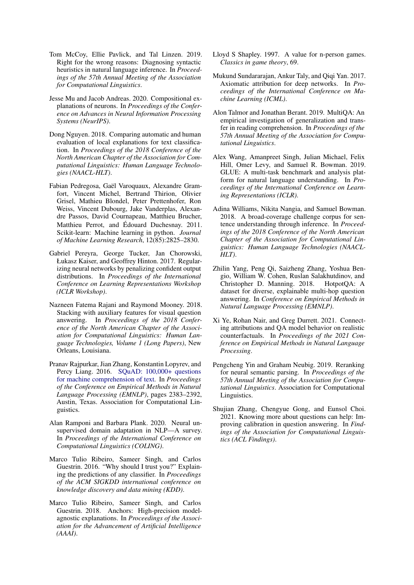- <span id="page-10-3"></span>Tom McCoy, Ellie Pavlick, and Tal Linzen. 2019. Right for the wrong reasons: Diagnosing syntactic heuristics in natural language inference. In *Proceedings of the 57th Annual Meeting of the Association for Computational Linguistics*.
- <span id="page-10-14"></span>Jesse Mu and Jacob Andreas. 2020. Compositional explanations of neurons. In *Proceedings of the Conference on Advances in Neural Information Processing Systems (NeurIPS)*.
- <span id="page-10-10"></span>Dong Nguyen. 2018. Comparing automatic and human evaluation of local explanations for text classification. In *Proceedings of the 2018 Conference of the North American Chapter of the Association for Computational Linguistics: Human Language Technologies (NAACL-HLT)*.
- <span id="page-10-18"></span>Fabian Pedregosa, Gaël Varoquaux, Alexandre Gramfort, Vincent Michel, Bertrand Thirion, Olivier Grisel, Mathieu Blondel, Peter Prettenhofer, Ron Weiss, Vincent Dubourg, Jake Vanderplas, Alexandre Passos, David Cournapeau, Matthieu Brucher, Matthieu Perrot, and Édouard Duchesnay. 2011. Scikit-learn: Machine learning in python. *Journal of Machine Learning Research*, 12(85):2825–2830.
- <span id="page-10-15"></span>Gabriel Pereyra, George Tucker, Jan Chorowski, Łukasz Kaiser, and Geoffrey Hinton. 2017. Regularizing neural networks by penalizing confident output distributions. In *Proceedings of the International Conference on Learning Representations Workshop (ICLR Workshop)*.
- <span id="page-10-13"></span>Nazneen Fatema Rajani and Raymond Mooney. 2018. Stacking with auxiliary features for visual question answering. In *Proceedings of the 2018 Conference of the North American Chapter of the Association for Computational Linguistics: Human Language Technologies, Volume 1 (Long Papers)*, New Orleans, Louisiana.
- <span id="page-10-4"></span>Pranav Rajpurkar, Jian Zhang, Konstantin Lopyrev, and Percy Liang. 2016. [SQuAD: 100,000+ questions](https://doi.org/10.18653/v1/D16-1264) [for machine comprehension of text.](https://doi.org/10.18653/v1/D16-1264) In *Proceedings of the Conference on Empirical Methods in Natural Language Processing (EMNLP)*, pages 2383–2392, Austin, Texas. Association for Computational Linguistics.
- <span id="page-10-16"></span>Alan Ramponi and Barbara Plank. 2020. Neural unsupervised domain adaptation in NLP—A survey. In *Proceedings of the International Conference on Computational Linguistics (COLING)*.
- <span id="page-10-0"></span>Marco Tulio Ribeiro, Sameer Singh, and Carlos Guestrin. 2016. "Why should I trust you?" Explaining the predictions of any classifier. In *Proceedings of the ACM SIGKDD international conference on knowledge discovery and data mining (KDD)*.
- <span id="page-10-9"></span>Marco Tulio Ribeiro, Sameer Singh, and Carlos Guestrin. 2018. Anchors: High-precision modelagnostic explanations. In *Proceedings of the Association for the Advancement of Artificial Intelligence (AAAI)*.
- <span id="page-10-17"></span>Lloyd S Shapley. 1997. A value for n-person games. *Classics in game theory*, 69.
- <span id="page-10-2"></span>Mukund Sundararajan, Ankur Taly, and Oigi Yan. 2017. Axiomatic attribution for deep networks. In *Proceedings of the International Conference on Machine Learning (ICML)*.
- <span id="page-10-8"></span>Alon Talmor and Jonathan Berant. 2019. MultiQA: An empirical investigation of generalization and transfer in reading comprehension. In *Proceedings of the 57th Annual Meeting of the Association for Computational Linguistics*.
- <span id="page-10-7"></span>Alex Wang, Amanpreet Singh, Julian Michael, Felix Hill, Omer Levy, and Samuel R. Bowman. 2019. GLUE: A multi-task benchmark and analysis platform for natural language understanding. In *Proceedings of the International Conference on Learning Representations (ICLR)*.
- <span id="page-10-6"></span>Adina Williams, Nikita Nangia, and Samuel Bowman. 2018. A broad-coverage challenge corpus for sentence understanding through inference. In *Proceedings of the 2018 Conference of the North American Chapter of the Association for Computational Linguistics: Human Language Technologies (NAACL-HLT)*.
- <span id="page-10-5"></span>Zhilin Yang, Peng Qi, Saizheng Zhang, Yoshua Bengio, William W. Cohen, Ruslan Salakhutdinov, and Christopher D. Manning. 2018. HotpotQA: A dataset for diverse, explainable multi-hop question answering. In *Conference on Empirical Methods in Natural Language Processing (EMNLP)*.
- <span id="page-10-1"></span>Xi Ye, Rohan Nair, and Greg Durrett. 2021. Connecting attributions and QA model behavior on realistic counterfactuals. In *Proceedings of the 2021 Conference on Empirical Methods in Natural Language Processing*.
- <span id="page-10-12"></span>Pengcheng Yin and Graham Neubig. 2019. Reranking for neural semantic parsing. In *Proceedings of the 57th Annual Meeting of the Association for Computational Linguistics*. Association for Computational Linguistics.
- <span id="page-10-11"></span>Shujian Zhang, Chengyue Gong, and Eunsol Choi. 2021. Knowing more about questions can help: Improving calibration in question answering. In *Findings of the Association for Computational Linguistics (ACL Findings)*.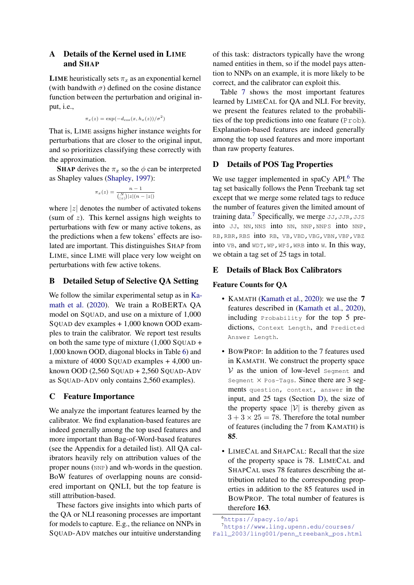## A Details of the Kernel used in LIME and SHAP

**LIME** heuristically sets  $\pi_x$  as an exponential kernel (with bandwith  $\sigma$ ) defined on the cosine distance function between the perturbation and original input, i.e.,

$$
\pi_x(z) = \exp(-d_{\cos}(x, h_x(z))/\sigma^2)
$$

That is, LIME assigns higher instance weights for perturbations that are closer to the original input, and so prioritizes classifying these correctly with the approximation.

**SHAP** derives the  $\pi_x$  so the  $\phi$  can be interpreted as Shapley values [\(Shapley,](#page-10-17) [1997\)](#page-10-17):

$$
\pi_x(z) = \frac{n-1}{\binom{N}{|z|} |z|(n-|z|)}
$$

where  $|z|$  denotes the number of activated tokens (sum of  $z$ ). This kernel assigns high weights to perturbations with few or many active tokens, as the predictions when a few tokens' effects are isolated are important. This distinguishes SHAP from LIME, since LIME will place very low weight on perturbations with few active tokens.

## B Detailed Setup of Selective QA Setting

We follow the similar experimental setup as in [Ka](#page-9-1)[math et al.](#page-9-1) [\(2020\)](#page-9-1). We train a ROBERTA QA model on SQUAD, and use on a mixture of 1,000 SQUAD dev examples  $+1,000$  known OOD examples to train the calibrator. We report test results on both the same type of mixture  $(1,000$  SQUAD + 1,000 known OOD, diagonal blocks in Table [6\)](#page-8-0) and a mixture of 4000 SQUAD examples + 4,000 unknown OOD  $(2,560$  SQUAD + 2,560 SQUAD-ADV as SQUAD-ADV only contains 2,560 examples).

# C Feature Importance

We analyze the important features learned by the calibrator. We find explanation-based features are indeed generally among the top used features and more important than Bag-of-Word-based features (see the Appendix for a detailed list). All QA calibrators heavily rely on attribution values of the proper nouns (NNP) and wh-words in the question. BoW features of overlapping nouns are considered important on QNLI, but the top feature is still attribution-based.

These factors give insights into which parts of the QA or NLI reasoning processes are important for models to capture. E.g., the reliance on NNPs in SQUAD-ADV matches our intuitive understanding

of this task: distractors typically have the wrong named entities in them, so if the model pays attention to NNPs on an example, it is more likely to be correct, and the calibrator can exploit this.

Table [7](#page-12-0) shows the most important features learned by LIMECAL for QA and NLI. For brevity, we present the features related to the probabilities of the top predictions into one feature (Prob). Explanation-based features are indeed generally among the top used features and more important than raw property features.

# <span id="page-11-2"></span>D Details of POS Tag Properties

We use tagger implemented in spaCy API.<sup>[6](#page-11-0)</sup> The tag set basically follows the Penn Treebank tag set except that we merge some related tags to reduce the number of features given the limited amount of training data.<sup>[7](#page-11-1)</sup> Specifically, we merge  $JJ, JJR, JJS$ into JJ, NN, NNS into NN, NNP, NNPS into NNP, RB,RBR,RBS into RB, VB,VBD,VBG,VBN,VBP,VBZ into  $VB$ , and  $WDT, WP,WP$$ , wrs into W. In this way, we obtain a tag set of 25 tags in total.

# E Details of Black Box Calibrators

## Feature Counts for QA

- KAMATH [\(Kamath et al.,](#page-9-1) [2020\)](#page-9-1): we use the 7 features described in [\(Kamath et al.,](#page-9-1) [2020\)](#page-9-1), including Probability for the top 5 predictions, Context Length, and Predicted Answer Length.
- BOWPROP: In addition to the 7 features used in KAMATH. We construct the property space  $V$  as the union of low-level segment and Segment  $\times$  Pos-Tags. Since there are 3 segments question, context, answer in the input, and 25 tags (Section [D\)](#page-11-2), the size of the property space  $|V|$  is thereby given as  $3 + 3 \times 25 = 78$ . Therefore the total number of features (including the 7 from KAMATH) is 85.
- LIMECAL and SHAPCAL: Recall that the size of the property space is 78. LIMECAL and SHAPCAL uses 78 features describing the attribution related to the corresponding properties in addition to the 85 features used in BOWPROP. The total number of features is therefore 163.

<span id="page-11-1"></span><span id="page-11-0"></span><sup>6</sup><https://spacy.io/api>

<sup>7</sup>[https://www.ling.upenn.edu/courses/](https://www.ling.upenn.edu/courses/Fall_2003/ling001/penn_treebank_pos.html)

[Fall\\_2003/ling001/penn\\_treebank\\_pos.html](https://www.ling.upenn.edu/courses/Fall_2003/ling001/penn_treebank_pos.html)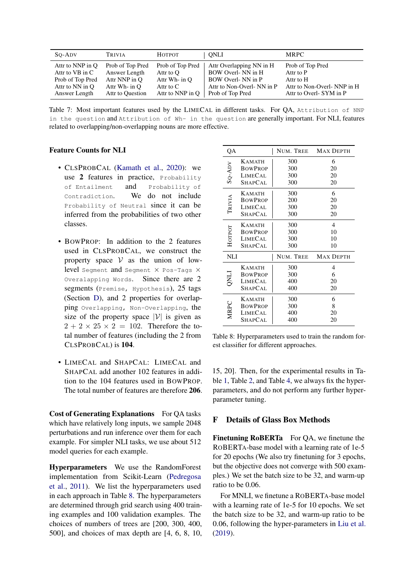<span id="page-12-0"></span>

| So-Adv           | <b>TRIVIA</b>    | Нотрот           | ONLI                      | <b>MRPC</b>                |
|------------------|------------------|------------------|---------------------------|----------------------------|
| Attr to NNP in O | Prob of Top Pred | Prob of Top Pred | Attr Overlapping NN in H  | Prob of Top Pred           |
| Attr to VB in C  | Answer Length    | Attr to O        | BOW Overl- NN in H        | Attr to P                  |
| Prob of Top Pred | Attr NNP in O    | Attr Wh- in O    | BOW Overl-NN in P         | Attr to H                  |
| Attr to NN in O  | Attr Wh- in O    | Attr to C        | Attr to Non-Overl-NN in P | Attr to Non-Overl-NNP in H |
| Answer Length    | Attr to Question | Attr to NNP in O | Prob of Top Pred          | Attr to Overl-SYM in P     |

Table 7: Most important features used by the LIMECAL in different tasks. For QA, Attribution of NNP in the question and Attribution of Wh- in the question are generally important. For NLI, features related to overlapping/non-overlapping nouns are more effective.

### Feature Counts for NLI

- CLSPROBCAL [\(Kamath et al.,](#page-9-1) [2020\)](#page-9-1): we use 2 features in practice, Probability of Entailment and Probability of Contradiction. We do not include Probability of Neutral since it can be inferred from the probabilities of two other classes.
- BOWPROP: In addition to the 2 features used in CLSPROBCAL, we construct the property space  $V$  as the union of lowlevel Segment and Segment X Pos-Tags X Overalapping Words. Since there are 2 segments (Premise, Hypothesis), 25 tags (Section [D\)](#page-11-2), and 2 properties for overlapping Overlapping, Non-Overlapping, the size of the property space  $|V|$  is given as  $2 + 2 \times 25 \times 2 = 102$ . Therefore the total number of features (including the 2 from CLSPROBCAL) is 104.
- LIMECAL and SHAPCAL: LIMECAL and SHAPCAL add another 102 features in addition to the 104 features used in BOWPROP. The total number of features are therefore 206.

Cost of Generating Explanations For QA tasks which have relatively long inputs, we sample 2048 perturbations and run inference over them for each example. For simpler NLI tasks, we use about 512 model queries for each example.

Hyperparameters We use the RandomForest implementation from Scikit-Learn [\(Pedregosa](#page-10-18) [et al.,](#page-10-18) [2011\)](#page-10-18). We list the hyperparameters used in each approach in Table [8.](#page-12-1) The hyperparameters are determined through grid search using 400 training examples and 100 validation examples. The choices of numbers of trees are [200, 300, 400, 500], and choices of max depth are [4, 6, 8, 10,

<span id="page-12-1"></span>

| QA          |                | NUM. TREE | <b>MAX DEPTH</b> |
|-------------|----------------|-----------|------------------|
|             | <b>KAMATH</b>  | 300       | 6                |
|             | <b>BOWPROP</b> | 300       | 20               |
| SQ-ADV      | LIMECAL        | 300       | 20               |
|             | SHAPCAL        | 300       | 20               |
|             | <b>KAMATH</b>  | 300       | 6                |
| TRIVIA      | <b>BOWPROP</b> | 200       | 20               |
|             | <b>LIMECAL</b> | 300       | 20               |
|             | <b>SHAPCAL</b> | 300       | 20               |
|             | <b>KAMATH</b>  | 300       | 4                |
|             | <b>BOWPROP</b> | 300       | 10               |
| Нотрот      | <b>LIMECAL</b> | 300       | 10               |
|             | <b>SHAPCAL</b> | 300       | 10               |
| NLI         |                | NUM. TREE | <b>MAX DEPTH</b> |
|             | <b>KAMATH</b>  | 300       | $\overline{4}$   |
| <b>LINC</b> | <b>BOWPROP</b> | 300       | 6                |
|             | LIMECAL        | 400       | 20               |
|             | <b>SHAPCAL</b> | 400       | 20               |
|             | <b>KAMATH</b>  | 300       | 6                |
| <b>MRPC</b> | <b>BOWPROP</b> | 300       | 8                |
|             | <b>LIMECAL</b> | 400       | 20               |
|             | SHAPCAL        | 400       | 20               |

Table 8: Hyperparameters used to train the random forest classifier for different approaches.

15, 20]. Then, for the experimental results in Table [1,](#page-5-0) Table [2,](#page-6-0) and Table [4,](#page-6-3) we always fix the hyperparameters, and do not perform any further hyperparameter tuning.

## F Details of Glass Box Methods

Finetuning RoBERTa For OA, we finetune the ROBERTA-base model with a learning rate of 1e-5 for 20 epochs (We also try finetuning for 3 epochs, but the objective does not converge with 500 examples.) We set the batch size to be 32, and warm-up ratio to be 0.06.

For MNLI, we finetune a ROBERTA-base model with a learning rate of 1e-5 for 10 epochs. We set the batch size to be 32, and warm-up ratio to be 0.06, following the hyper-parameters in [Liu et al.](#page-9-14) [\(2019\)](#page-9-14).